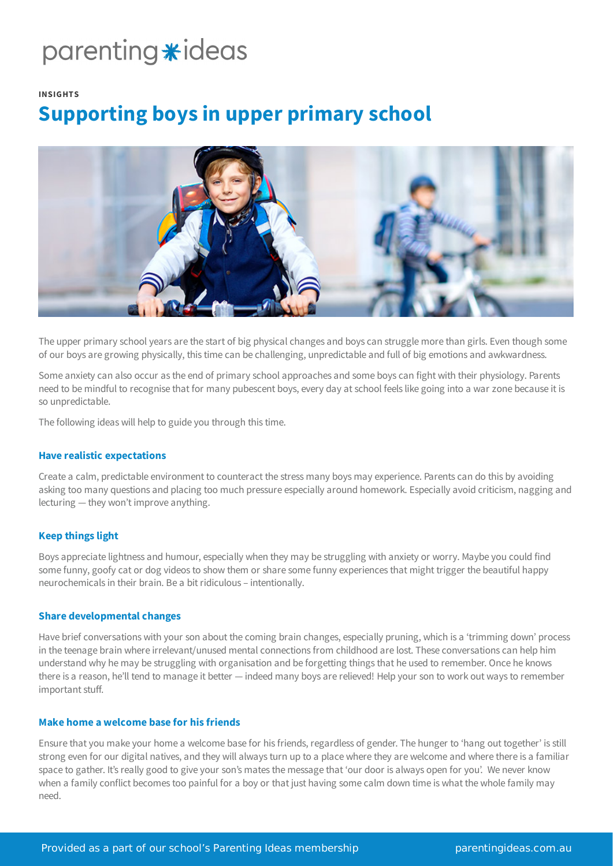# parenting \*ideas

## **INSIGHTS**

# **Supporting boys in upper primary school**



The upper primary school years are the start of big physical changes and boys can struggle more than girls. Even though some of our boys are growing physically, this time can be challenging, unpredictable and full of big emotions and awkwardness.

Some anxiety can also occur as the end of primary school approaches and some boys can fight with their physiology. Parents need to be mindful to recognise that for many pubescent boys, every day at school feels like going into a war zone because it is so unpredictable.

The following ideas will help to guide you through this time.

# **Have realistic expectations**

Create a calm, predictable environment to counteract the stress many boys may experience. Parents can do this by avoiding asking too many questions and placing too much pressure especially around homework. Especially avoid criticism, nagging and lecturing — they won't improve anything.

# **Keep things light**

Boys appreciate lightness and humour, especially when they may be struggling with anxiety or worry. Maybe you could find some funny, goofy cat or dog videos to show them or share some funny experiences that might trigger the beautiful happy neurochemicals in their brain. Be a bit ridiculous – intentionally.

# **Share developmental changes**

Have brief conversations with your son about the coming brain changes, especially pruning, which is a 'trimming down' process in the teenage brain where irrelevant/unused mental connections from childhood are lost. These conversations can help him understand why he may be struggling with organisation and be forgetting things that he used to remember. Once he knows there is a reason, he'll tend to manage it better — indeed many boys are relieved! Help your son to work out ways to remember important stuff.

# **Make home a welcome base for his friends**

Ensure that you make your home a welcome base for his friends, regardless of gender. The hunger to 'hang out together' is still strong even for our digital natives, and they will always turn up to a place where they are welcome and where there is a familiar space to gather. It's really good to give your son's mates the message that 'our door is always open for you'. We never know when a family conflict becomes too painful for a boy or that just having some calm down time is what the whole family may need.